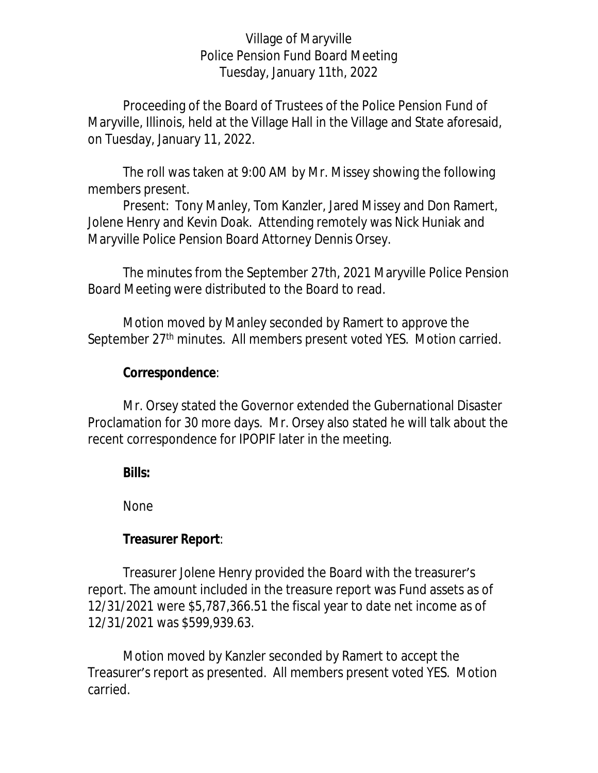### Village of Maryville Police Pension Fund Board Meeting Tuesday, January 11th, 2022

Proceeding of the Board of Trustees of the Police Pension Fund of Maryville, Illinois, held at the Village Hall in the Village and State aforesaid, on Tuesday, January 11, 2022.

The roll was taken at 9:00 AM by Mr. Missey showing the following members present.

Present: Tony Manley, Tom Kanzler, Jared Missey and Don Ramert, Jolene Henry and Kevin Doak. Attending remotely was Nick Huniak and Maryville Police Pension Board Attorney Dennis Orsey.

The minutes from the September 27th, 2021 Maryville Police Pension Board Meeting were distributed to the Board to read.

Motion moved by Manley seconded by Ramert to approve the September 27<sup>th</sup> minutes. All members present voted YES. Motion carried.

### **Correspondence**:

Mr. Orsey stated the Governor extended the Gubernational Disaster Proclamation for 30 more days. Mr. Orsey also stated he will talk about the recent correspondence for IPOPIF later in the meeting.

**Bills:**

None

### **Treasurer Report**:

Treasurer Jolene Henry provided the Board with the treasurer's report. The amount included in the treasure report was Fund assets as of 12/31/2021 were \$5,787,366.51 the fiscal year to date net income as of 12/31/2021 was \$599,939.63.

Motion moved by Kanzler seconded by Ramert to accept the Treasurer's report as presented. All members present voted YES. Motion carried.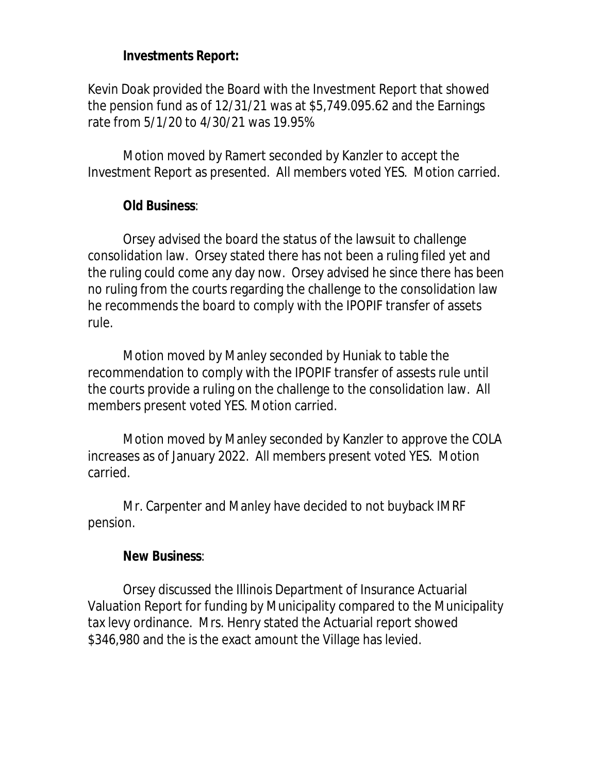## **Investments Report:**

Kevin Doak provided the Board with the Investment Report that showed the pension fund as of 12/31/21 was at \$5,749.095.62 and the Earnings rate from 5/1/20 to 4/30/21 was 19.95%

Motion moved by Ramert seconded by Kanzler to accept the Investment Report as presented. All members voted YES. Motion carried.

# **Old Business**:

Orsey advised the board the status of the lawsuit to challenge consolidation law. Orsey stated there has not been a ruling filed yet and the ruling could come any day now. Orsey advised he since there has been no ruling from the courts regarding the challenge to the consolidation law he recommends the board to comply with the IPOPIF transfer of assets rule.

Motion moved by Manley seconded by Huniak to table the recommendation to comply with the IPOPIF transfer of assests rule until the courts provide a ruling on the challenge to the consolidation law. All members present voted YES. Motion carried.

Motion moved by Manley seconded by Kanzler to approve the COLA increases as of January 2022. All members present voted YES. Motion carried.

Mr. Carpenter and Manley have decided to not buyback IMRF pension.

### **New Business**:

Orsey discussed the Illinois Department of Insurance Actuarial Valuation Report for funding by Municipality compared to the Municipality tax levy ordinance. Mrs. Henry stated the Actuarial report showed \$346,980 and the is the exact amount the Village has levied.